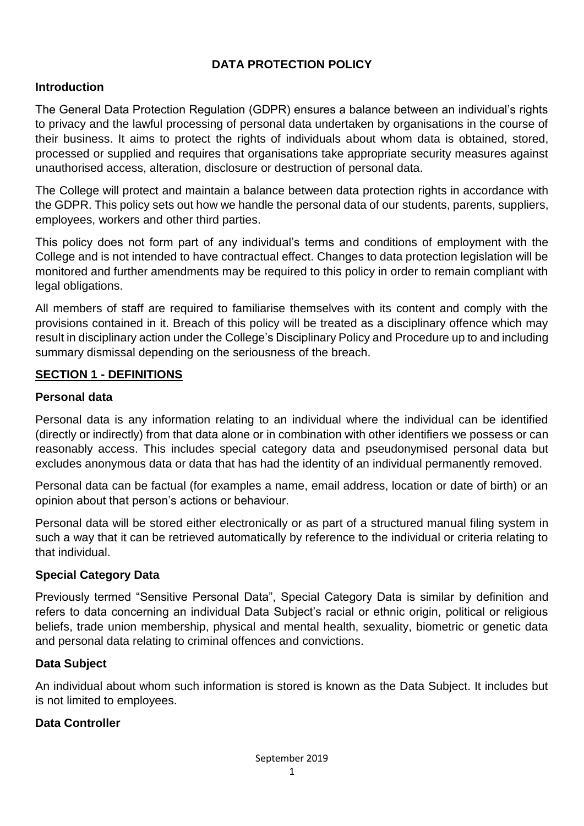# **DATA PROTECTION POLICY**

### **Introduction**

The General Data Protection Regulation (GDPR) ensures a balance between an individual's rights to privacy and the lawful processing of personal data undertaken by organisations in the course of their business. It aims to protect the rights of individuals about whom data is obtained, stored, processed or supplied and requires that organisations take appropriate security measures against unauthorised access, alteration, disclosure or destruction of personal data.

The College will protect and maintain a balance between data protection rights in accordance with the GDPR. This policy sets out how we handle the personal data of our students, parents, suppliers, employees, workers and other third parties.

This policy does not form part of any individual's terms and conditions of employment with the College and is not intended to have contractual effect. Changes to data protection legislation will be monitored and further amendments may be required to this policy in order to remain compliant with legal obligations.

All members of staff are required to familiarise themselves with its content and comply with the provisions contained in it. Breach of this policy will be treated as a disciplinary offence which may result in disciplinary action under the College's Disciplinary Policy and Procedure up to and including summary dismissal depending on the seriousness of the breach.

#### **SECTION 1 - DEFINITIONS**

#### **Personal data**

Personal data is any information relating to an individual where the individual can be identified (directly or indirectly) from that data alone or in combination with other identifiers we possess or can reasonably access. This includes special category data and pseudonymised personal data but excludes anonymous data or data that has had the identity of an individual permanently removed.

Personal data can be factual (for examples a name, email address, location or date of birth) or an opinion about that person's actions or behaviour.

Personal data will be stored either electronically or as part of a structured manual filing system in such a way that it can be retrieved automatically by reference to the individual or criteria relating to that individual.

### **Special Category Data**

Previously termed "Sensitive Personal Data", Special Category Data is similar by definition and refers to data concerning an individual Data Subject's racial or ethnic origin, political or religious beliefs, trade union membership, physical and mental health, sexuality, biometric or genetic data and personal data relating to criminal offences and convictions.

### **Data Subject**

An individual about whom such information is stored is known as the Data Subject. It includes but is not limited to employees.

### **Data Controller**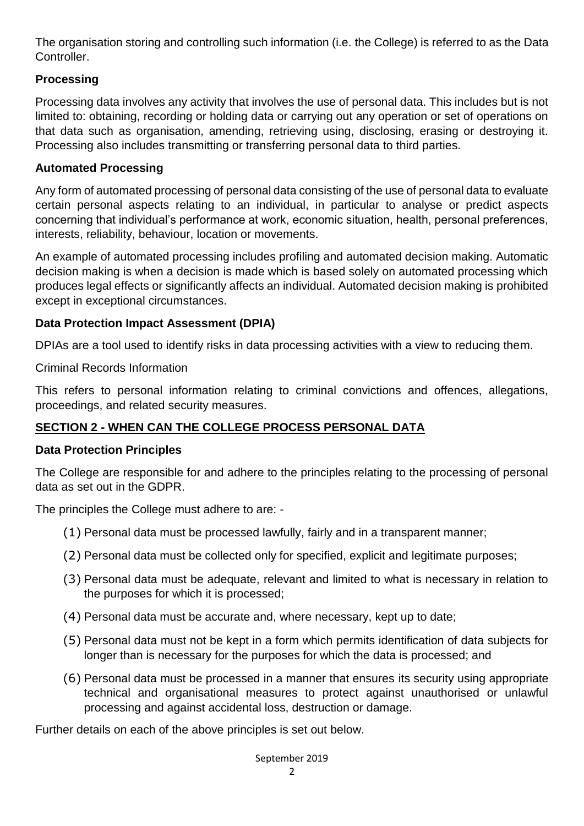The organisation storing and controlling such information (i.e. the College) is referred to as the Data Controller.

## **Processing**

Processing data involves any activity that involves the use of personal data. This includes but is not limited to: obtaining, recording or holding data or carrying out any operation or set of operations on that data such as organisation, amending, retrieving using, disclosing, erasing or destroying it. Processing also includes transmitting or transferring personal data to third parties.

### **Automated Processing**

Any form of automated processing of personal data consisting of the use of personal data to evaluate certain personal aspects relating to an individual, in particular to analyse or predict aspects concerning that individual's performance at work, economic situation, health, personal preferences, interests, reliability, behaviour, location or movements.

An example of automated processing includes profiling and automated decision making. Automatic decision making is when a decision is made which is based solely on automated processing which produces legal effects or significantly affects an individual. Automated decision making is prohibited except in exceptional circumstances.

### **Data Protection Impact Assessment (DPIA)**

DPIAs are a tool used to identify risks in data processing activities with a view to reducing them.

Criminal Records Information

This refers to personal information relating to criminal convictions and offences, allegations, proceedings, and related security measures.

## **SECTION 2 - WHEN CAN THE COLLEGE PROCESS PERSONAL DATA**

### **Data Protection Principles**

The College are responsible for and adhere to the principles relating to the processing of personal data as set out in the GDPR.

The principles the College must adhere to are: -

- (1) Personal data must be processed lawfully, fairly and in a transparent manner;
- (2) Personal data must be collected only for specified, explicit and legitimate purposes;
- (3) Personal data must be adequate, relevant and limited to what is necessary in relation to the purposes for which it is processed;
- (4) Personal data must be accurate and, where necessary, kept up to date;
- (5) Personal data must not be kept in a form which permits identification of data subjects for longer than is necessary for the purposes for which the data is processed; and
- (6) Personal data must be processed in a manner that ensures its security using appropriate technical and organisational measures to protect against unauthorised or unlawful processing and against accidental loss, destruction or damage.

Further details on each of the above principles is set out below.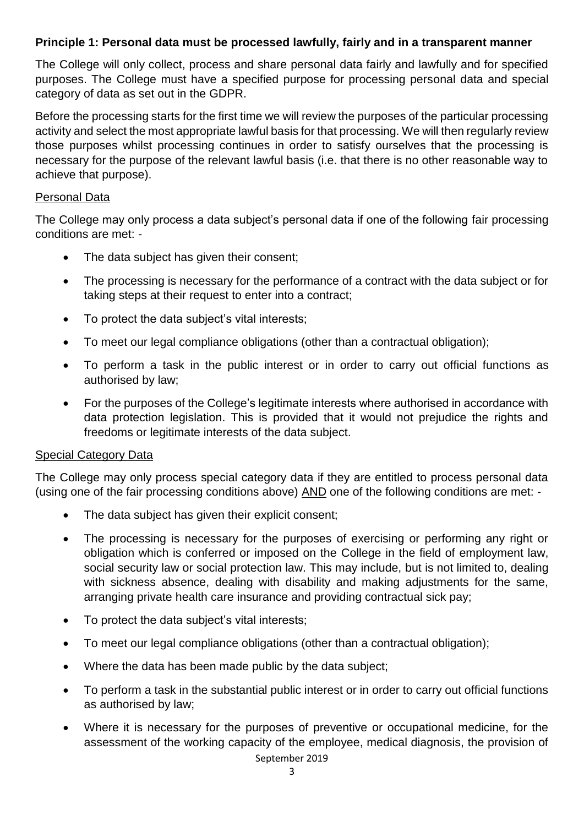### **Principle 1: Personal data must be processed lawfully, fairly and in a transparent manner**

The College will only collect, process and share personal data fairly and lawfully and for specified purposes. The College must have a specified purpose for processing personal data and special category of data as set out in the GDPR.

Before the processing starts for the first time we will review the purposes of the particular processing activity and select the most appropriate lawful basis for that processing. We will then regularly review those purposes whilst processing continues in order to satisfy ourselves that the processing is necessary for the purpose of the relevant lawful basis (i.e. that there is no other reasonable way to achieve that purpose).

#### Personal Data

The College may only process a data subject's personal data if one of the following fair processing conditions are met: -

- The data subject has given their consent;
- The processing is necessary for the performance of a contract with the data subject or for taking steps at their request to enter into a contract;
- To protect the data subject's vital interests;
- To meet our legal compliance obligations (other than a contractual obligation):
- To perform a task in the public interest or in order to carry out official functions as authorised by law;
- For the purposes of the College's legitimate interests where authorised in accordance with data protection legislation. This is provided that it would not prejudice the rights and freedoms or legitimate interests of the data subject.

#### Special Category Data

The College may only process special category data if they are entitled to process personal data (using one of the fair processing conditions above) AND one of the following conditions are met: -

- The data subject has given their explicit consent;
- The processing is necessary for the purposes of exercising or performing any right or obligation which is conferred or imposed on the College in the field of employment law, social security law or social protection law. This may include, but is not limited to, dealing with sickness absence, dealing with disability and making adjustments for the same, arranging private health care insurance and providing contractual sick pay;
- To protect the data subiect's vital interests:
- To meet our legal compliance obligations (other than a contractual obligation);
- Where the data has been made public by the data subject;
- To perform a task in the substantial public interest or in order to carry out official functions as authorised by law;
- Where it is necessary for the purposes of preventive or occupational medicine, for the assessment of the working capacity of the employee, medical diagnosis, the provision of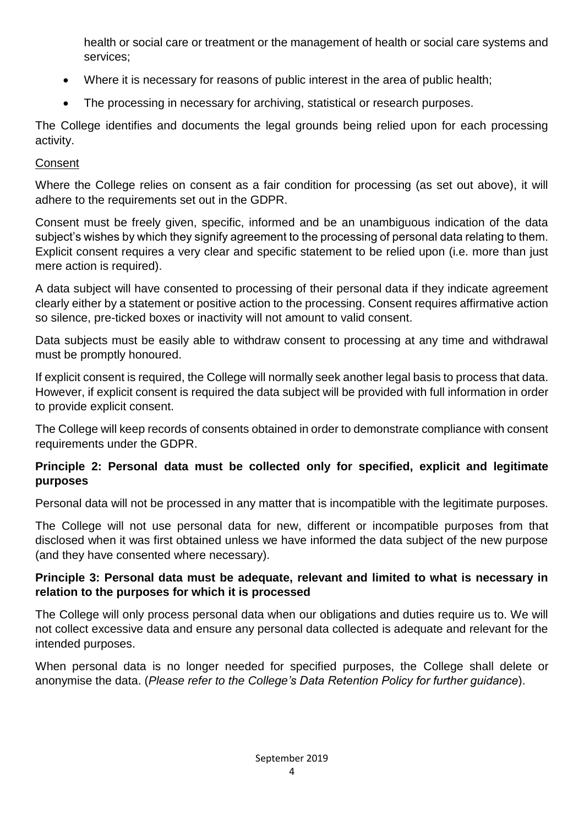health or social care or treatment or the management of health or social care systems and services;

- Where it is necessary for reasons of public interest in the area of public health;
- The processing in necessary for archiving, statistical or research purposes.

The College identifies and documents the legal grounds being relied upon for each processing activity.

## **Consent**

Where the College relies on consent as a fair condition for processing (as set out above), it will adhere to the requirements set out in the GDPR.

Consent must be freely given, specific, informed and be an unambiguous indication of the data subject's wishes by which they signify agreement to the processing of personal data relating to them. Explicit consent requires a very clear and specific statement to be relied upon (i.e. more than just mere action is required).

A data subject will have consented to processing of their personal data if they indicate agreement clearly either by a statement or positive action to the processing. Consent requires affirmative action so silence, pre-ticked boxes or inactivity will not amount to valid consent.

Data subjects must be easily able to withdraw consent to processing at any time and withdrawal must be promptly honoured.

If explicit consent is required, the College will normally seek another legal basis to process that data. However, if explicit consent is required the data subject will be provided with full information in order to provide explicit consent.

The College will keep records of consents obtained in order to demonstrate compliance with consent requirements under the GDPR.

### **Principle 2: Personal data must be collected only for specified, explicit and legitimate purposes**

Personal data will not be processed in any matter that is incompatible with the legitimate purposes.

The College will not use personal data for new, different or incompatible purposes from that disclosed when it was first obtained unless we have informed the data subject of the new purpose (and they have consented where necessary).

### **Principle 3: Personal data must be adequate, relevant and limited to what is necessary in relation to the purposes for which it is processed**

The College will only process personal data when our obligations and duties require us to. We will not collect excessive data and ensure any personal data collected is adequate and relevant for the intended purposes.

When personal data is no longer needed for specified purposes, the College shall delete or anonymise the data. (*Please refer to the College's Data Retention Policy for further guidance*).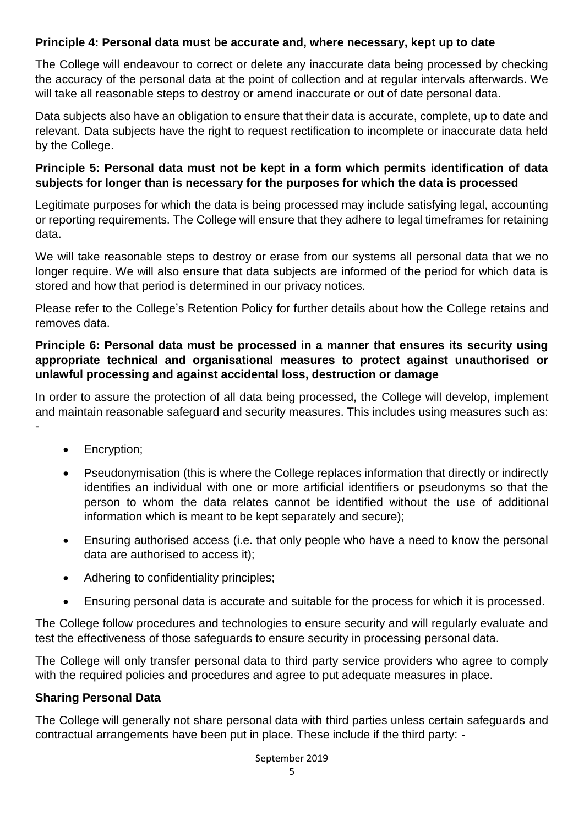### **Principle 4: Personal data must be accurate and, where necessary, kept up to date**

The College will endeavour to correct or delete any inaccurate data being processed by checking the accuracy of the personal data at the point of collection and at regular intervals afterwards. We will take all reasonable steps to destroy or amend inaccurate or out of date personal data.

Data subjects also have an obligation to ensure that their data is accurate, complete, up to date and relevant. Data subjects have the right to request rectification to incomplete or inaccurate data held by the College.

### **Principle 5: Personal data must not be kept in a form which permits identification of data subjects for longer than is necessary for the purposes for which the data is processed**

Legitimate purposes for which the data is being processed may include satisfying legal, accounting or reporting requirements. The College will ensure that they adhere to legal timeframes for retaining data.

We will take reasonable steps to destroy or erase from our systems all personal data that we no longer require. We will also ensure that data subjects are informed of the period for which data is stored and how that period is determined in our privacy notices.

Please refer to the College's Retention Policy for further details about how the College retains and removes data.

### **Principle 6: Personal data must be processed in a manner that ensures its security using appropriate technical and organisational measures to protect against unauthorised or unlawful processing and against accidental loss, destruction or damage**

In order to assure the protection of all data being processed, the College will develop, implement and maintain reasonable safeguard and security measures. This includes using measures such as:

• Encryption;

-

- Pseudonymisation (this is where the College replaces information that directly or indirectly identifies an individual with one or more artificial identifiers or pseudonyms so that the person to whom the data relates cannot be identified without the use of additional information which is meant to be kept separately and secure);
- Ensuring authorised access (i.e. that only people who have a need to know the personal data are authorised to access it);
- Adhering to confidentiality principles;
- Ensuring personal data is accurate and suitable for the process for which it is processed.

The College follow procedures and technologies to ensure security and will regularly evaluate and test the effectiveness of those safeguards to ensure security in processing personal data.

The College will only transfer personal data to third party service providers who agree to comply with the required policies and procedures and agree to put adequate measures in place.

### **Sharing Personal Data**

The College will generally not share personal data with third parties unless certain safeguards and contractual arrangements have been put in place. These include if the third party: -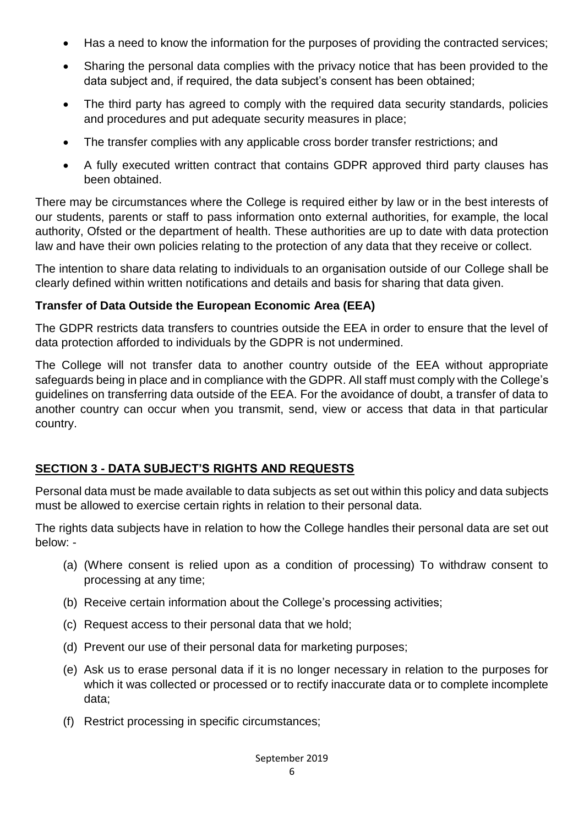- Has a need to know the information for the purposes of providing the contracted services;
- Sharing the personal data complies with the privacy notice that has been provided to the data subject and, if required, the data subject's consent has been obtained;
- The third party has agreed to comply with the required data security standards, policies and procedures and put adequate security measures in place;
- The transfer complies with any applicable cross border transfer restrictions; and
- A fully executed written contract that contains GDPR approved third party clauses has been obtained.

There may be circumstances where the College is required either by law or in the best interests of our students, parents or staff to pass information onto external authorities, for example, the local authority, Ofsted or the department of health. These authorities are up to date with data protection law and have their own policies relating to the protection of any data that they receive or collect.

The intention to share data relating to individuals to an organisation outside of our College shall be clearly defined within written notifications and details and basis for sharing that data given.

### **Transfer of Data Outside the European Economic Area (EEA)**

The GDPR restricts data transfers to countries outside the EEA in order to ensure that the level of data protection afforded to individuals by the GDPR is not undermined.

The College will not transfer data to another country outside of the EEA without appropriate safeguards being in place and in compliance with the GDPR. All staff must comply with the College's guidelines on transferring data outside of the EEA. For the avoidance of doubt, a transfer of data to another country can occur when you transmit, send, view or access that data in that particular country.

# **SECTION 3 - DATA SUBJECT'S RIGHTS AND REQUESTS**

Personal data must be made available to data subjects as set out within this policy and data subjects must be allowed to exercise certain rights in relation to their personal data.

The rights data subjects have in relation to how the College handles their personal data are set out below: -

- (a) (Where consent is relied upon as a condition of processing) To withdraw consent to processing at any time;
- (b) Receive certain information about the College's processing activities;
- (c) Request access to their personal data that we hold;
- (d) Prevent our use of their personal data for marketing purposes;
- (e) Ask us to erase personal data if it is no longer necessary in relation to the purposes for which it was collected or processed or to rectify inaccurate data or to complete incomplete data;
- (f) Restrict processing in specific circumstances;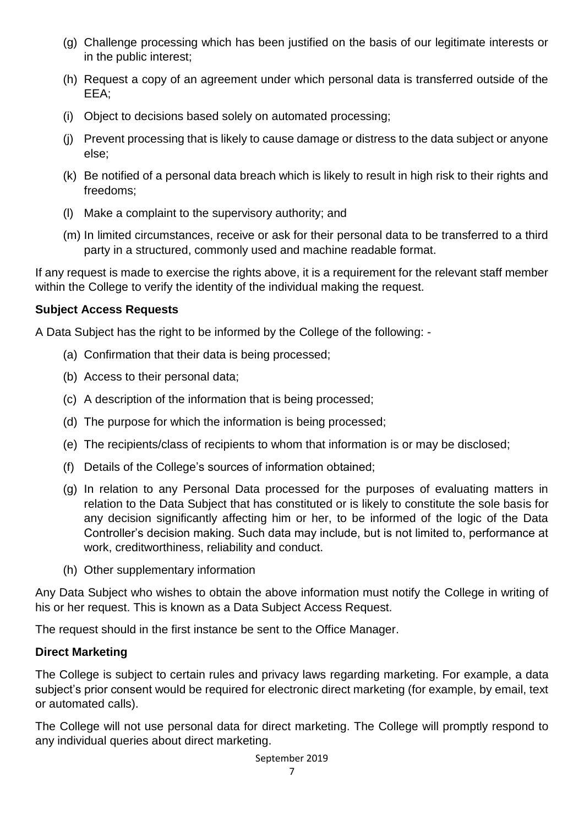- (g) Challenge processing which has been justified on the basis of our legitimate interests or in the public interest;
- (h) Request a copy of an agreement under which personal data is transferred outside of the EEA;
- (i) Object to decisions based solely on automated processing;
- (j) Prevent processing that is likely to cause damage or distress to the data subject or anyone else;
- (k) Be notified of a personal data breach which is likely to result in high risk to their rights and freedoms;
- (l) Make a complaint to the supervisory authority; and
- (m) In limited circumstances, receive or ask for their personal data to be transferred to a third party in a structured, commonly used and machine readable format.

If any request is made to exercise the rights above, it is a requirement for the relevant staff member within the College to verify the identity of the individual making the request.

### **Subject Access Requests**

A Data Subject has the right to be informed by the College of the following: -

- (a) Confirmation that their data is being processed;
- (b) Access to their personal data;
- (c) A description of the information that is being processed;
- (d) The purpose for which the information is being processed;
- (e) The recipients/class of recipients to whom that information is or may be disclosed;
- (f) Details of the College's sources of information obtained;
- (g) In relation to any Personal Data processed for the purposes of evaluating matters in relation to the Data Subject that has constituted or is likely to constitute the sole basis for any decision significantly affecting him or her, to be informed of the logic of the Data Controller's decision making. Such data may include, but is not limited to, performance at work, creditworthiness, reliability and conduct.
- (h) Other supplementary information

Any Data Subject who wishes to obtain the above information must notify the College in writing of his or her request. This is known as a Data Subject Access Request.

The request should in the first instance be sent to the Office Manager.

## **Direct Marketing**

The College is subject to certain rules and privacy laws regarding marketing. For example, a data subject's prior consent would be required for electronic direct marketing (for example, by email, text or automated calls).

The College will not use personal data for direct marketing. The College will promptly respond to any individual queries about direct marketing.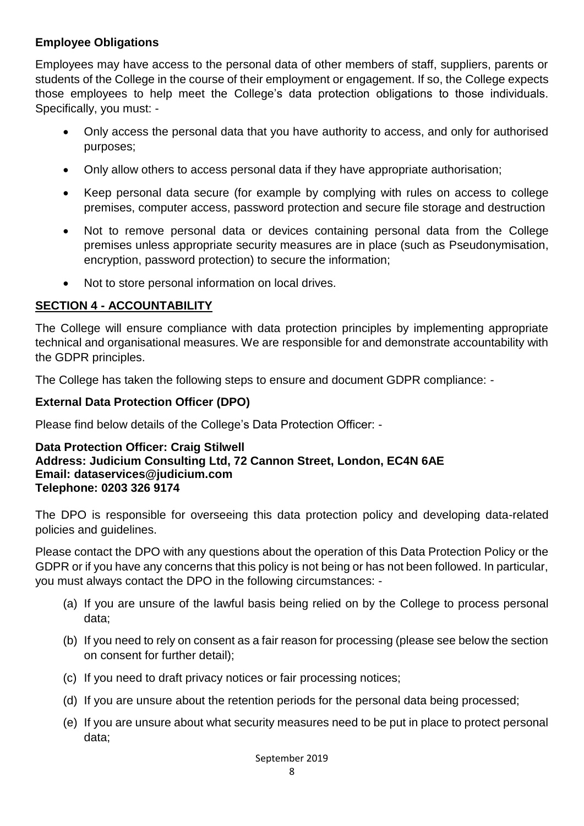### **Employee Obligations**

Employees may have access to the personal data of other members of staff, suppliers, parents or students of the College in the course of their employment or engagement. If so, the College expects those employees to help meet the College's data protection obligations to those individuals. Specifically, you must: -

- Only access the personal data that you have authority to access, and only for authorised purposes;
- Only allow others to access personal data if they have appropriate authorisation;
- Keep personal data secure (for example by complying with rules on access to college premises, computer access, password protection and secure file storage and destruction
- Not to remove personal data or devices containing personal data from the College premises unless appropriate security measures are in place (such as Pseudonymisation, encryption, password protection) to secure the information;
- Not to store personal information on local drives.

## **SECTION 4 - ACCOUNTABILITY**

The College will ensure compliance with data protection principles by implementing appropriate technical and organisational measures. We are responsible for and demonstrate accountability with the GDPR principles.

The College has taken the following steps to ensure and document GDPR compliance: -

### **External Data Protection Officer (DPO)**

Please find below details of the College's Data Protection Officer: -

#### **Data Protection Officer: Craig Stilwell Address: Judicium Consulting Ltd, 72 Cannon Street, London, EC4N 6AE Email: [dataservices@judicium.com](mailto:dataservices@judicium.com) Telephone: 0203 326 9174**

The DPO is responsible for overseeing this data protection policy and developing data-related policies and guidelines.

Please contact the DPO with any questions about the operation of this Data Protection Policy or the GDPR or if you have any concerns that this policy is not being or has not been followed. In particular, you must always contact the DPO in the following circumstances: -

- (a) If you are unsure of the lawful basis being relied on by the College to process personal data;
- (b) If you need to rely on consent as a fair reason for processing (please see below the section on consent for further detail);
- (c) If you need to draft privacy notices or fair processing notices;
- (d) If you are unsure about the retention periods for the personal data being processed;
- (e) If you are unsure about what security measures need to be put in place to protect personal data;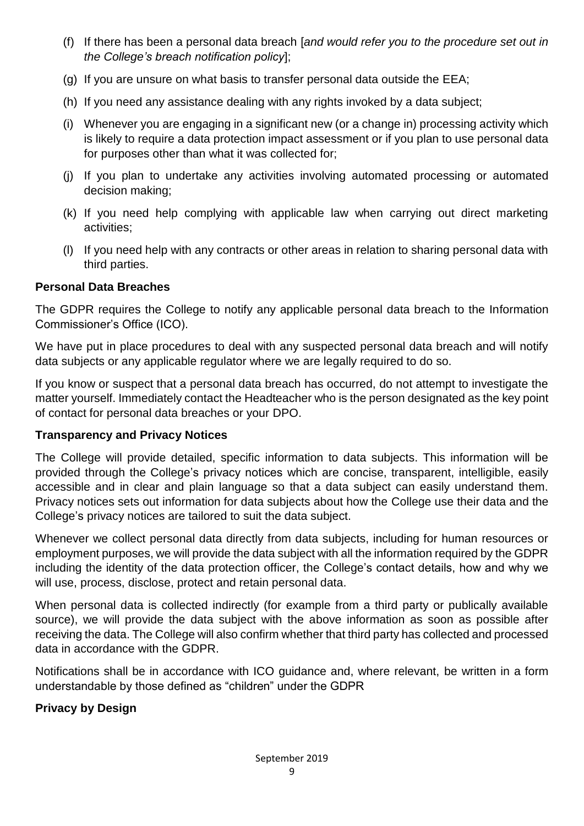- (f) If there has been a personal data breach [*and would refer you to the procedure set out in the College's breach notification policy*];
- (g) If you are unsure on what basis to transfer personal data outside the EEA;
- (h) If you need any assistance dealing with any rights invoked by a data subject;
- (i) Whenever you are engaging in a significant new (or a change in) processing activity which is likely to require a data protection impact assessment or if you plan to use personal data for purposes other than what it was collected for;
- (j) If you plan to undertake any activities involving automated processing or automated decision making;
- (k) If you need help complying with applicable law when carrying out direct marketing activities;
- (l) If you need help with any contracts or other areas in relation to sharing personal data with third parties.

### **Personal Data Breaches**

The GDPR requires the College to notify any applicable personal data breach to the Information Commissioner's Office (ICO).

We have put in place procedures to deal with any suspected personal data breach and will notify data subjects or any applicable regulator where we are legally required to do so.

If you know or suspect that a personal data breach has occurred, do not attempt to investigate the matter yourself. Immediately contact the Headteacher who is the person designated as the key point of contact for personal data breaches or your DPO.

### **Transparency and Privacy Notices**

The College will provide detailed, specific information to data subjects. This information will be provided through the College's privacy notices which are concise, transparent, intelligible, easily accessible and in clear and plain language so that a data subject can easily understand them. Privacy notices sets out information for data subjects about how the College use their data and the College's privacy notices are tailored to suit the data subject.

Whenever we collect personal data directly from data subjects, including for human resources or employment purposes, we will provide the data subject with all the information required by the GDPR including the identity of the data protection officer, the College's contact details, how and why we will use, process, disclose, protect and retain personal data.

When personal data is collected indirectly (for example from a third party or publically available source), we will provide the data subject with the above information as soon as possible after receiving the data. The College will also confirm whether that third party has collected and processed data in accordance with the GDPR.

Notifications shall be in accordance with ICO guidance and, where relevant, be written in a form understandable by those defined as "children" under the GDPR

## **Privacy by Design**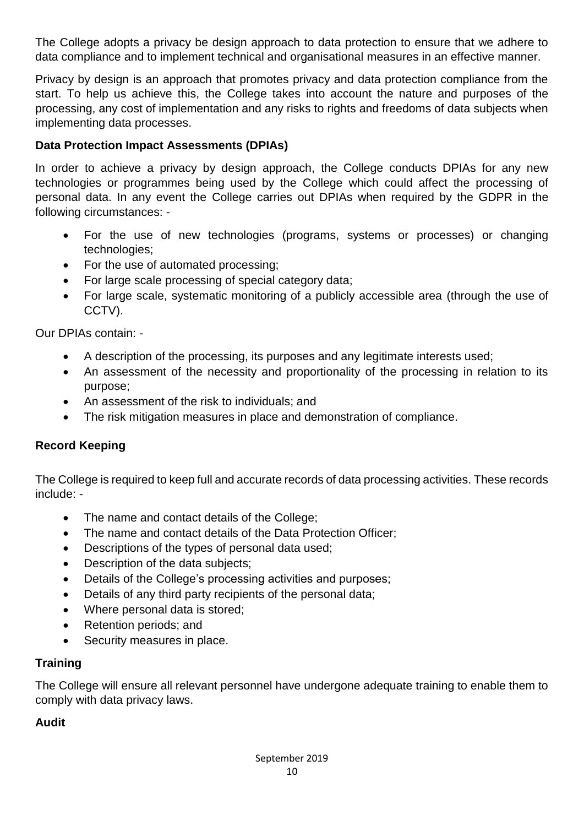The College adopts a privacy be design approach to data protection to ensure that we adhere to data compliance and to implement technical and organisational measures in an effective manner.

Privacy by design is an approach that promotes privacy and data protection compliance from the start. To help us achieve this, the College takes into account the nature and purposes of the processing, any cost of implementation and any risks to rights and freedoms of data subjects when implementing data processes.

### **Data Protection Impact Assessments (DPIAs)**

In order to achieve a privacy by design approach, the College conducts DPIAs for any new technologies or programmes being used by the College which could affect the processing of personal data. In any event the College carries out DPIAs when required by the GDPR in the following circumstances: -

- For the use of new technologies (programs, systems or processes) or changing technologies;
- For the use of automated processing;
- For large scale processing of special category data;
- For large scale, systematic monitoring of a publicly accessible area (through the use of CCTV).

Our DPIAs contain: -

- A description of the processing, its purposes and any legitimate interests used;
- An assessment of the necessity and proportionality of the processing in relation to its purpose;
- An assessment of the risk to individuals; and
- The risk mitigation measures in place and demonstration of compliance.

## **Record Keeping**

The College is required to keep full and accurate records of data processing activities. These records include: -

- The name and contact details of the College;
- The name and contact details of the Data Protection Officer;
- Descriptions of the types of personal data used;
- Description of the data subjects;
- Details of the College's processing activities and purposes;
- Details of any third party recipients of the personal data;
- Where personal data is stored;
- Retention periods; and
- Security measures in place.

## **Training**

The College will ensure all relevant personnel have undergone adequate training to enable them to comply with data privacy laws.

### **Audit**